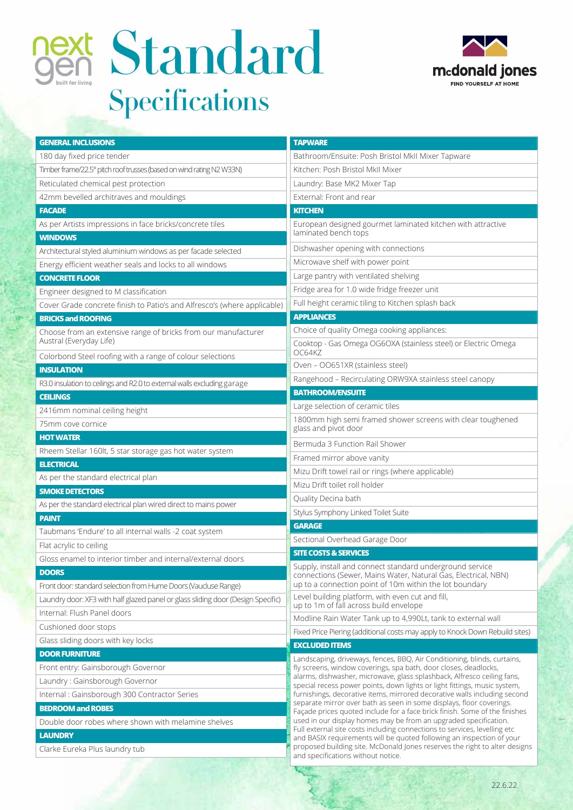



| <b>GENERAL INCLUSIONS</b>                                                                                                | <b>TAPWARE</b>                                                                                                                                                                                                                                                                                                                                                                          |
|--------------------------------------------------------------------------------------------------------------------------|-----------------------------------------------------------------------------------------------------------------------------------------------------------------------------------------------------------------------------------------------------------------------------------------------------------------------------------------------------------------------------------------|
|                                                                                                                          |                                                                                                                                                                                                                                                                                                                                                                                         |
| 180 day fixed price tender                                                                                               | Bathroom/Ensuite: Posh Bristol MkII Mixer Tapware                                                                                                                                                                                                                                                                                                                                       |
| Timber frame/22.5° pitch roof trusses (based on wind rating N2 W33N)                                                     | Kitchen: Posh Bristol MkII Mixer                                                                                                                                                                                                                                                                                                                                                        |
| Reticulated chemical pest protection                                                                                     | Laundry: Base MK2 Mixer Tap                                                                                                                                                                                                                                                                                                                                                             |
| 42mm bevelled architraves and mouldings                                                                                  | External: Front and rear                                                                                                                                                                                                                                                                                                                                                                |
| <b>FACADE</b>                                                                                                            | <b>KITCHEN</b>                                                                                                                                                                                                                                                                                                                                                                          |
| As per Artists impressions in face bricks/concrete tiles                                                                 | European designed gourmet laminated kitchen with attractive<br>laminated bench tops                                                                                                                                                                                                                                                                                                     |
| <b>WINDOWS</b>                                                                                                           | Dishwasher opening with connections                                                                                                                                                                                                                                                                                                                                                     |
| Architectural styled aluminium windows as per facade selected<br>Energy efficient weather seals and locks to all windows | Microwave shelf with power point                                                                                                                                                                                                                                                                                                                                                        |
| <b>CONCRETE FLOOR</b>                                                                                                    | Large pantry with ventilated shelving                                                                                                                                                                                                                                                                                                                                                   |
|                                                                                                                          | Fridge area for 1.0 wide fridge freezer unit                                                                                                                                                                                                                                                                                                                                            |
| Engineer designed to M classification                                                                                    | Full height ceramic tiling to Kitchen splash back                                                                                                                                                                                                                                                                                                                                       |
| Cover Grade concrete finish to Patio's and Alfresco's (where applicable)                                                 | <b>APPLIANCES</b>                                                                                                                                                                                                                                                                                                                                                                       |
| <b>BRICKS and ROOFING</b>                                                                                                | Choice of quality Omega cooking appliances:                                                                                                                                                                                                                                                                                                                                             |
| Choose from an extensive range of bricks from our manufacturer<br>Austral (Everyday Life)                                | Cooktop - Gas Omega OG6OXA (stainless steel) or Electric Omega                                                                                                                                                                                                                                                                                                                          |
| Colorbond Steel roofing with a range of colour selections                                                                | OC64KZ                                                                                                                                                                                                                                                                                                                                                                                  |
| <b>INSULATION</b>                                                                                                        | Oven - OO651XR (stainless steel)                                                                                                                                                                                                                                                                                                                                                        |
| R3.0 insulation to ceilings and R2.0 to external walls excluding garage                                                  | Rangehood - Recirculating ORW9XA stainless steel canopy                                                                                                                                                                                                                                                                                                                                 |
| <b>CEILINGS</b>                                                                                                          | <b>BATHROOM/ENSUITE</b>                                                                                                                                                                                                                                                                                                                                                                 |
| 2416mm nominal ceiling height                                                                                            | Large selection of ceramic tiles                                                                                                                                                                                                                                                                                                                                                        |
| 75mm cove cornice                                                                                                        | 1800mm high semi framed shower screens with clear toughened<br>glass and pivot door                                                                                                                                                                                                                                                                                                     |
| <b>HOT WATER</b>                                                                                                         | Bermuda 3 Function Rail Shower                                                                                                                                                                                                                                                                                                                                                          |
| Rheem Stellar 160lt, 5 star storage gas hot water system                                                                 | Framed mirror above vanity                                                                                                                                                                                                                                                                                                                                                              |
| <b>ELECTRICAL</b>                                                                                                        | Mizu Drift towel rail or rings (where applicable)                                                                                                                                                                                                                                                                                                                                       |
| As per the standard electrical plan                                                                                      | Mizu Drift toilet roll holder                                                                                                                                                                                                                                                                                                                                                           |
| <b>SMOKE DETECTORS</b>                                                                                                   | Quality Decina bath                                                                                                                                                                                                                                                                                                                                                                     |
| As per the standard electrical plan wired direct to mains power                                                          | Stylus Symphony Linked Toilet Suite                                                                                                                                                                                                                                                                                                                                                     |
| <b>PAINT</b>                                                                                                             | <b>GARAGE</b>                                                                                                                                                                                                                                                                                                                                                                           |
| Taubmans 'Endure' to all internal walls -2 coat system                                                                   | Sectional Overhead Garage Door                                                                                                                                                                                                                                                                                                                                                          |
| Flat acrylic to ceiling                                                                                                  | <b>SITE COSTS &amp; SERVICES</b>                                                                                                                                                                                                                                                                                                                                                        |
| Gloss enamel to interior timber and internal/external doors                                                              | Supply, install and connect standard underground service                                                                                                                                                                                                                                                                                                                                |
| <b>DOORS</b>                                                                                                             | connections (Sewer, Mains Water, Natural Gas, Electrical, NBN)                                                                                                                                                                                                                                                                                                                          |
| Front door: standard selection from Hume Doors (Vaucluse Range)                                                          | up to a connection point of 10m within the lot boundary                                                                                                                                                                                                                                                                                                                                 |
| Laundry door: XF3 with half glazed panel or glass sliding door (Design Specific)                                         | Level building platform, with even cut and fill,<br>up to 1m of fall across build envelope                                                                                                                                                                                                                                                                                              |
| Internal: Flush Panel doors                                                                                              | Modline Rain Water Tank up to 4,990Lt, tank to external wall                                                                                                                                                                                                                                                                                                                            |
| Cushioned door stops                                                                                                     | Fixed Price Piering (additional costs may apply to Knock Down Rebuild sites)                                                                                                                                                                                                                                                                                                            |
| Glass sliding doors with key locks                                                                                       | <b>EXCLUDED ITEMS</b>                                                                                                                                                                                                                                                                                                                                                                   |
| <b>DOOR FURNITURE</b>                                                                                                    | Landscaping, driveways, fences, BBQ, Air Conditioning, blinds, curtains,                                                                                                                                                                                                                                                                                                                |
| Front entry: Gainsborough Governor                                                                                       | fly screens, window coverings, spa bath, door closes, deadlocks,                                                                                                                                                                                                                                                                                                                        |
| Laundry: Gainsborough Governor                                                                                           | alarms, dishwasher, microwave, glass splashback, Alfresco ceiling fans,<br>special recess power points, down lights or light fittings, music system,<br>furnishings, decorative items, mirrored decorative walls including second<br>separate mirror over bath as seen in some displays, floor coverings.<br>Façade prices quoted include for a face brick finish. Some of the finishes |
| Internal: Gainsborough 300 Contractor Series                                                                             |                                                                                                                                                                                                                                                                                                                                                                                         |
| <b>BEDROOM and ROBES</b>                                                                                                 |                                                                                                                                                                                                                                                                                                                                                                                         |
| Double door robes where shown with melamine shelves                                                                      | used in our display homes may be from an upgraded specification.<br>Full external site costs including connections to services, levelling etc                                                                                                                                                                                                                                           |
| <b>LAUNDRY</b>                                                                                                           | and BASIX requirements will be quoted following an inspection of your                                                                                                                                                                                                                                                                                                                   |
| Clarke Eureka Plus laundry tub                                                                                           | proposed building site. McDonald Jones reserves the right to alter designs<br>and specifications without notice.                                                                                                                                                                                                                                                                        |